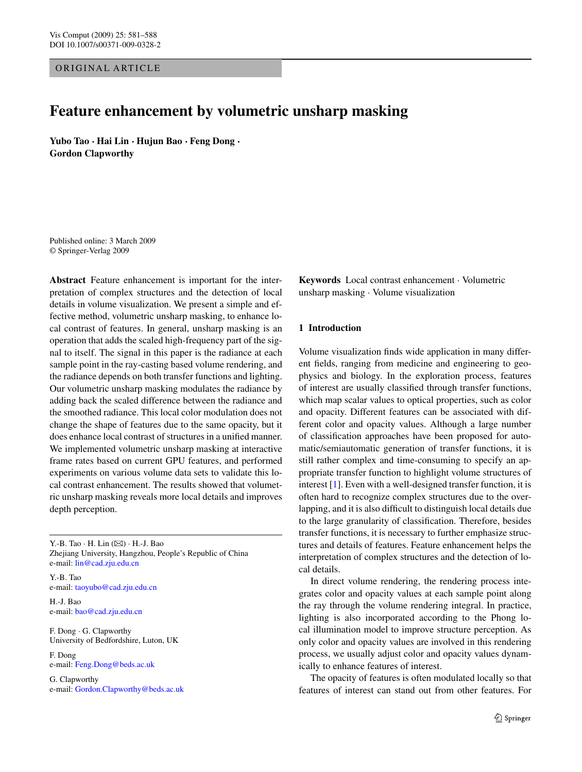ORIGINAL ARTICLE

# **Feature enhancement by volumetric unsharp masking**

**Yubo Tao · Hai Lin · Hujun Bao · Feng Dong · Gordon Clapworthy**

Published online: 3 March 2009 © Springer-Verlag 2009

**Abstract** Feature enhancement is important for the interpretation of complex structures and the detection of local details in volume visualization. We present a simple and effective method, volumetric unsharp masking, to enhance local contrast of features. In general, unsharp masking is an operation that adds the scaled high-frequency part of the signal to itself. The signal in this paper is the radiance at each sample point in the ray-casting based volume rendering, and the radiance depends on both transfer functions and lighting. Our volumetric unsharp masking modulates the radiance by adding back the scaled difference between the radiance and the smoothed radiance. This local color modulation does not change the shape of features due to the same opacity, but it does enhance local contrast of structures in a unified manner. We implemented volumetric unsharp masking at interactive frame rates based on current GPU features, and performed experiments on various volume data sets to validate this local contrast enhancement. The results showed that volumetric unsharp masking reveals more local details and improves depth perception.

Y.-B. Tao · H. Lin (⊠) · H.-J. Bao Zhejiang University, Hangzhou, People's Republic of China e-mail: [lin@cad.zju.edu.cn](mailto:lin@cad.zju.edu.cn)

Y.-B. Tao e-mail: [taoyubo@cad.zju.edu.cn](mailto:taoyubo@cad.zju.edu.cn)

H.-J. Bao e-mail: [bao@cad.zju.edu.cn](mailto:bao@cad.zju.edu.cn)

F. Dong · G. Clapworthy University of Bedfordshire, Luton, UK

F. Dong e-mail: [Feng.Dong@beds.ac.uk](mailto:Feng.Dong@beds.ac.uk)

G. Clapworthy e-mail: [Gordon.Clapworthy@beds.ac.uk](mailto:Gordon.Clapworthy@beds.ac.uk) **Keywords** Local contrast enhancement · Volumetric unsharp masking · Volume visualization

## **1 Introduction**

Volume visualization finds wide application in many different fields, ranging from medicine and engineering to geophysics and biology. In the exploration process, features of interest are usually classified through transfer functions, which map scalar values to optical properties, such as color and opacity. Different features can be associated with different color and opacity values. Although a large number of classification approaches have been proposed for automatic/semiautomatic generation of transfer functions, it is still rather complex and time-consuming to specify an appropriate transfer function to highlight volume structures of interest [[1](#page-6-0)]. Even with a well-designed transfer function, it is often hard to recognize complex structures due to the overlapping, and it is also difficult to distinguish local details due to the large granularity of classification. Therefore, besides transfer functions, it is necessary to further emphasize structures and details of features. Feature enhancement helps the interpretation of complex structures and the detection of local details.

In direct volume rendering, the rendering process integrates color and opacity values at each sample point along the ray through the volume rendering integral. In practice, lighting is also incorporated according to the Phong local illumination model to improve structure perception. As only color and opacity values are involved in this rendering process, we usually adjust color and opacity values dynamically to enhance features of interest.

The opacity of features is often modulated locally so that features of interest can stand out from other features. For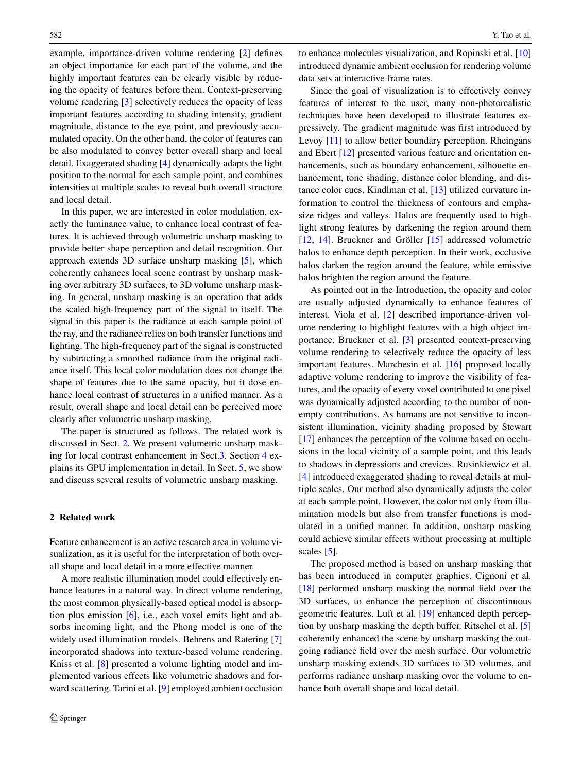example, importance-driven volume rendering [\[2](#page-6-0)] defines an object importance for each part of the volume, and the highly important features can be clearly visible by reducing the opacity of features before them. Context-preserving volume rendering [\[3](#page-6-0)] selectively reduces the opacity of less important features according to shading intensity, gradient magnitude, distance to the eye point, and previously accumulated opacity. On the other hand, the color of features can be also modulated to convey better overall sharp and local detail. Exaggerated shading [\[4](#page-6-0)] dynamically adapts the light position to the normal for each sample point, and combines intensities at multiple scales to reveal both overall structure and local detail.

In this paper, we are interested in color modulation, exactly the luminance value, to enhance local contrast of features. It is achieved through volumetric unsharp masking to provide better shape perception and detail recognition. Our approach extends 3D surface unsharp masking [\[5\]](#page-6-0), which coherently enhances local scene contrast by unsharp masking over arbitrary 3D surfaces, to 3D volume unsharp masking. In general, unsharp masking is an operation that adds the scaled high-frequency part of the signal to itself. The signal in this paper is the radiance at each sample point of the ray, and the radiance relies on both transfer functions and lighting. The high-frequency part of the signal is constructed by subtracting a smoothed radiance from the original radiance itself. This local color modulation does not change the shape of features due to the same opacity, but it dose enhance local contrast of structures in a unified manner. As a result, overall shape and local detail can be perceived more clearly after volumetric unsharp masking.

The paper is structured as follows. The related work is discussed in Sect. 2. We present volumetric unsharp masking for local contrast enhancement in Sect.[3.](#page-2-0) Section [4](#page-4-0) explains its GPU implementation in detail. In Sect. [5,](#page-4-0) we show and discuss several results of volumetric unsharp masking.

## **2 Related work**

Feature enhancement is an active research area in volume visualization, as it is useful for the interpretation of both overall shape and local detail in a more effective manner.

A more realistic illumination model could effectively enhance features in a natural way. In direct volume rendering, the most common physically-based optical model is absorption plus emission [\[6](#page-6-0)], i.e., each voxel emits light and absorbs incoming light, and the Phong model is one of the widely used illumination models. Behrens and Ratering [[7\]](#page-6-0) incorporated shadows into texture-based volume rendering. Kniss et al. [[8\]](#page-6-0) presented a volume lighting model and implemented various effects like volumetric shadows and forward scattering. Tarini et al. [\[9](#page-6-0)] employed ambient occlusion to enhance molecules visualization, and Ropinski et al. [[10\]](#page-6-0) introduced dynamic ambient occlusion for rendering volume data sets at interactive frame rates.

Since the goal of visualization is to effectively convey features of interest to the user, many non-photorealistic techniques have been developed to illustrate features expressively. The gradient magnitude was first introduced by Levoy [[11\]](#page-6-0) to allow better boundary perception. Rheingans and Ebert [\[12](#page-6-0)] presented various feature and orientation enhancements, such as boundary enhancement, silhouette enhancement, tone shading, distance color blending, and distance color cues. Kindlman et al. [\[13](#page-6-0)] utilized curvature information to control the thickness of contours and emphasize ridges and valleys. Halos are frequently used to highlight strong features by darkening the region around them [\[12](#page-6-0), [14\]](#page-6-0). Bruckner and Gröller [[15\]](#page-6-0) addressed volumetric halos to enhance depth perception. In their work, occlusive halos darken the region around the feature, while emissive halos brighten the region around the feature.

As pointed out in the Introduction, the opacity and color are usually adjusted dynamically to enhance features of interest. Viola et al. [\[2\]](#page-6-0) described importance-driven volume rendering to highlight features with a high object importance. Bruckner et al. [\[3](#page-6-0)] presented context-preserving volume rendering to selectively reduce the opacity of less important features. Marchesin et al. [[16\]](#page-6-0) proposed locally adaptive volume rendering to improve the visibility of features, and the opacity of every voxel contributed to one pixel was dynamically adjusted according to the number of nonempty contributions. As humans are not sensitive to inconsistent illumination, vicinity shading proposed by Stewart [\[17](#page-6-0)] enhances the perception of the volume based on occlusions in the local vicinity of a sample point, and this leads to shadows in depressions and crevices. Rusinkiewicz et al. [\[4](#page-6-0)] introduced exaggerated shading to reveal details at multiple scales. Our method also dynamically adjusts the color at each sample point. However, the color not only from illumination models but also from transfer functions is modulated in a unified manner. In addition, unsharp masking could achieve similar effects without processing at multiple scales [\[5](#page-6-0)].

The proposed method is based on unsharp masking that has been introduced in computer graphics. Cignoni et al. [\[18](#page-6-0)] performed unsharp masking the normal field over the 3D surfaces, to enhance the perception of discontinuous geometric features. Luft et al. [\[19](#page-6-0)] enhanced depth perception by unsharp masking the depth buffer. Ritschel et al. [[5\]](#page-6-0) coherently enhanced the scene by unsharp masking the outgoing radiance field over the mesh surface. Our volumetric unsharp masking extends 3D surfaces to 3D volumes, and performs radiance unsharp masking over the volume to enhance both overall shape and local detail.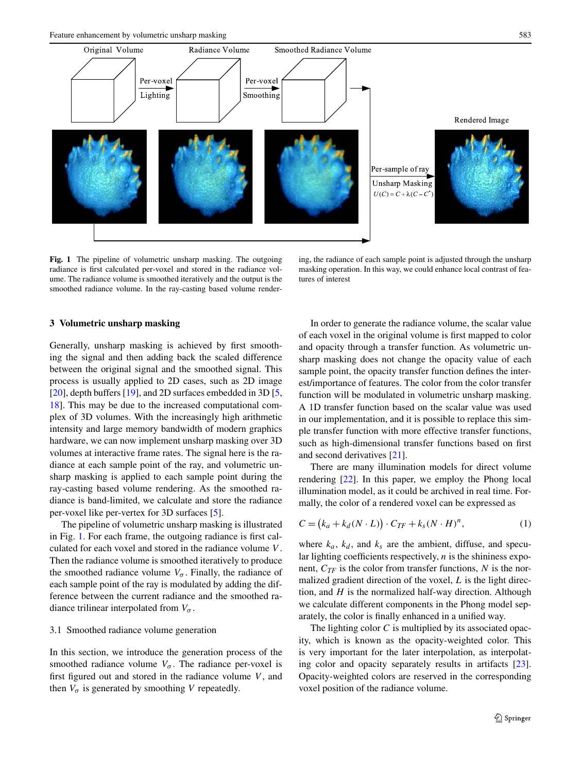<span id="page-2-0"></span>

**Fig. 1** The pipeline of volumetric unsharp masking. The outgoing radiance is first calculated per-voxel and stored in the radiance volume. The radiance volume is smoothed iteratively and the output is the smoothed radiance volume. In the ray-casting based volume render-

ing, the radiance of each sample point is adjusted through the unsharp masking operation. In this way, we could enhance local contrast of features of interest

## **3 Volumetric unsharp masking**

Generally, unsharp masking is achieved by first smoothing the signal and then adding back the scaled difference between the original signal and the smoothed signal. This process is usually applied to 2D cases, such as 2D image [\[20](#page-6-0)], depth buffers [[19\]](#page-6-0), and 2D surfaces embedded in 3D [\[5](#page-6-0), [18\]](#page-6-0). This may be due to the increased computational complex of 3D volumes. With the increasingly high arithmetic intensity and large memory bandwidth of modern graphics hardware, we can now implement unsharp masking over 3D volumes at interactive frame rates. The signal here is the radiance at each sample point of the ray, and volumetric unsharp masking is applied to each sample point during the ray-casting based volume rendering. As the smoothed radiance is band-limited, we calculate and store the radiance per-voxel like per-vertex for 3D surfaces [\[5](#page-6-0)].

The pipeline of volumetric unsharp masking is illustrated in Fig. 1. For each frame, the outgoing radiance is first calculated for each voxel and stored in the radiance volume *V* . Then the radiance volume is smoothed iteratively to produce the smoothed radiance volume  $V_{\sigma}$ . Finally, the radiance of each sample point of the ray is modulated by adding the difference between the current radiance and the smoothed radiance trilinear interpolated from  $V_{\sigma}$ .

### 3.1 Smoothed radiance volume generation

In this section, we introduce the generation process of the smoothed radiance volume  $V_{\sigma}$ . The radiance per-voxel is first figured out and stored in the radiance volume *V* , and then  $V_{\sigma}$  is generated by smoothing *V* repeatedly.

In order to generate the radiance volume, the scalar value of each voxel in the original volume is first mapped to color and opacity through a transfer function. As volumetric unsharp masking does not change the opacity value of each sample point, the opacity transfer function defines the interest/importance of features. The color from the color transfer function will be modulated in volumetric unsharp masking. A 1D transfer function based on the scalar value was used in our implementation, and it is possible to replace this simple transfer function with more effective transfer functions, such as high-dimensional transfer functions based on first and second derivatives [[21](#page-7-0)].

There are many illumination models for direct volume rendering [\[22](#page-7-0)]. In this paper, we employ the Phong local illumination model, as it could be archived in real time. Formally, the color of a rendered voxel can be expressed as

$$
C = (k_a + k_d(N \cdot L)) \cdot C_{TF} + k_s(N \cdot H)^n, \qquad (1)
$$

where  $k_a$ ,  $k_d$ , and  $k_s$  are the ambient, diffuse, and specular lighting coefficients respectively, *n* is the shininess exponent, *CTF* is the color from transfer functions, *N* is the normalized gradient direction of the voxel, *L* is the light direction, and *H* is the normalized half-way direction. Although we calculate different components in the Phong model separately, the color is finally enhanced in a unified way.

The lighting color *C* is multiplied by its associated opacity, which is known as the opacity-weighted color. This is very important for the later interpolation, as interpolating color and opacity separately results in artifacts [\[23](#page-7-0)]. Opacity-weighted colors are reserved in the corresponding voxel position of the radiance volume.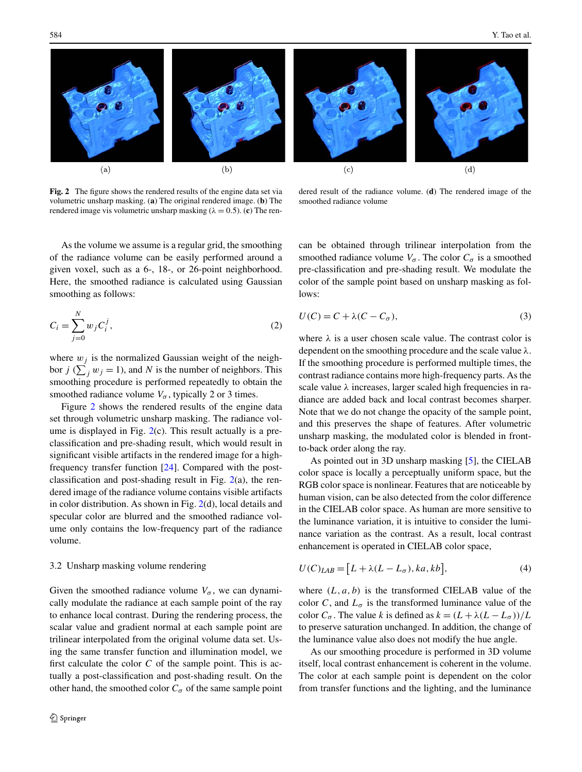<span id="page-3-0"></span>

**Fig. 2** The figure shows the rendered results of the engine data set via volumetric unsharp masking. (**a**) The original rendered image. (**b**) The rendered image vis volumetric unsharp masking ( $\lambda = 0.5$ ). (**c**) The ren-

dered result of the radiance volume. (**d**) The rendered image of the smoothed radiance volume

As the volume we assume is a regular grid, the smoothing of the radiance volume can be easily performed around a given voxel, such as a 6-, 18-, or 26-point neighborhood. Here, the smoothed radiance is calculated using Gaussian smoothing as follows:

$$
C_i = \sum_{j=0}^{N} w_j C_i^j,
$$
\n<sup>(2)</sup>

where  $w_i$  is the normalized Gaussian weight of the neighbor  $j$  ( $\sum_j w_j = 1$ ), and *N* is the number of neighbors. This smoothing procedure is performed repeatedly to obtain the smoothed radiance volume  $V_{\sigma}$ , typically 2 or 3 times.

Figure 2 shows the rendered results of the engine data set through volumetric unsharp masking. The radiance volume is displayed in Fig.  $2(c)$ . This result actually is a preclassification and pre-shading result, which would result in significant visible artifacts in the rendered image for a highfrequency transfer function [[24\]](#page-7-0). Compared with the postclassification and post-shading result in Fig.  $2(a)$ , the rendered image of the radiance volume contains visible artifacts in color distribution. As shown in Fig. 2(d), local details and specular color are blurred and the smoothed radiance volume only contains the low-frequency part of the radiance volume.

#### 3.2 Unsharp masking volume rendering

Given the smoothed radiance volume  $V_{\sigma}$ , we can dynamically modulate the radiance at each sample point of the ray to enhance local contrast. During the rendering process, the scalar value and gradient normal at each sample point are trilinear interpolated from the original volume data set. Using the same transfer function and illumination model, we first calculate the color *C* of the sample point. This is actually a post-classification and post-shading result. On the other hand, the smoothed color  $C_{\sigma}$  of the same sample point

can be obtained through trilinear interpolation from the smoothed radiance volume  $V_{\sigma}$ . The color  $C_{\sigma}$  is a smoothed pre-classification and pre-shading result. We modulate the color of the sample point based on unsharp masking as follows:

$$
U(C) = C + \lambda (C - C_{\sigma}),
$$
\n(3)

where  $\lambda$  is a user chosen scale value. The contrast color is dependent on the smoothing procedure and the scale value *λ*. If the smoothing procedure is performed multiple times, the contrast radiance contains more high-frequency parts. As the scale value *λ* increases, larger scaled high frequencies in radiance are added back and local contrast becomes sharper. Note that we do not change the opacity of the sample point, and this preserves the shape of features. After volumetric unsharp masking, the modulated color is blended in frontto-back order along the ray.

As pointed out in 3D unsharp masking [\[5](#page-6-0)], the CIELAB color space is locally a perceptually uniform space, but the RGB color space is nonlinear. Features that are noticeable by human vision, can be also detected from the color difference in the CIELAB color space. As human are more sensitive to the luminance variation, it is intuitive to consider the luminance variation as the contrast. As a result, local contrast enhancement is operated in CIELAB color space,

$$
U(C)_{LAB} = [L + \lambda (L - L_{\sigma}), ka, kb],
$$
\n(4)

where  $(L, a, b)$  is the transformed CIELAB value of the color *C*, and  $L_{\sigma}$  is the transformed luminance value of the color  $C_{\sigma}$ . The value *k* is defined as  $k = (L + \lambda(L - L_{\sigma}))/L$ to preserve saturation unchanged. In addition, the change of the luminance value also does not modify the hue angle.

As our smoothing procedure is performed in 3D volume itself, local contrast enhancement is coherent in the volume. The color at each sample point is dependent on the color from transfer functions and the lighting, and the luminance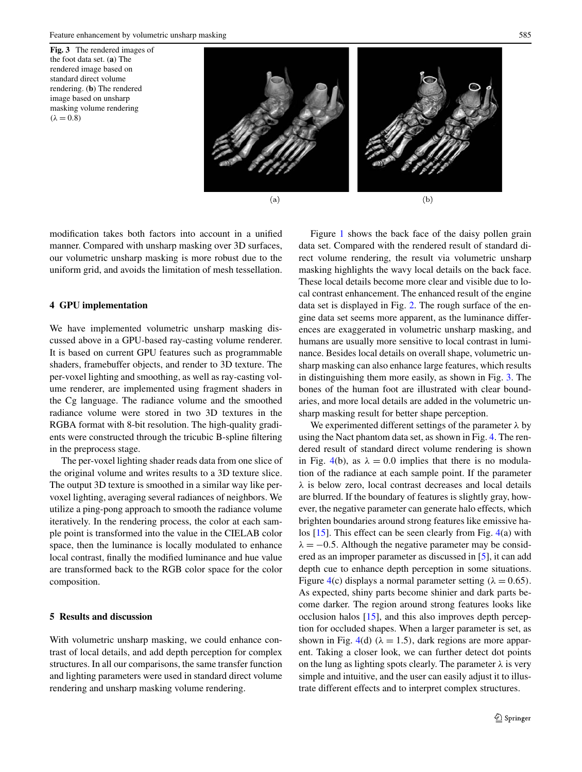<span id="page-4-0"></span>**Fig. 3** The rendered images of the foot data set. (**a**) The rendered image based on standard direct volume rendering. (**b**) The rendered image based on unsharp masking volume rendering  $(λ = 0.8)$ 



modification takes both factors into account in a unified manner. Compared with unsharp masking over 3D surfaces, our volumetric unsharp masking is more robust due to the uniform grid, and avoids the limitation of mesh tessellation.

#### **4 GPU implementation**

We have implemented volumetric unsharp masking discussed above in a GPU-based ray-casting volume renderer. It is based on current GPU features such as programmable shaders, framebuffer objects, and render to 3D texture. The per-voxel lighting and smoothing, as well as ray-casting volume renderer, are implemented using fragment shaders in the Cg language. The radiance volume and the smoothed radiance volume were stored in two 3D textures in the RGBA format with 8-bit resolution. The high-quality gradients were constructed through the tricubic B-spline filtering in the preprocess stage.

The per-voxel lighting shader reads data from one slice of the original volume and writes results to a 3D texture slice. The output 3D texture is smoothed in a similar way like pervoxel lighting, averaging several radiances of neighbors. We utilize a ping-pong approach to smooth the radiance volume iteratively. In the rendering process, the color at each sample point is transformed into the value in the CIELAB color space, then the luminance is locally modulated to enhance local contrast, finally the modified luminance and hue value are transformed back to the RGB color space for the color composition.

## **5 Results and discussion**

With volumetric unsharp masking, we could enhance contrast of local details, and add depth perception for complex structures. In all our comparisons, the same transfer function and lighting parameters were used in standard direct volume rendering and unsharp masking volume rendering.

Figure [1](#page-2-0) shows the back face of the daisy pollen grain data set. Compared with the rendered result of standard direct volume rendering, the result via volumetric unsharp masking highlights the wavy local details on the back face. These local details become more clear and visible due to local contrast enhancement. The enhanced result of the engine data set is displayed in Fig. [2.](#page-3-0) The rough surface of the engine data set seems more apparent, as the luminance differences are exaggerated in volumetric unsharp masking, and humans are usually more sensitive to local contrast in luminance. Besides local details on overall shape, volumetric unsharp masking can also enhance large features, which results in distinguishing them more easily, as shown in Fig. 3. The bones of the human foot are illustrated with clear boundaries, and more local details are added in the volumetric unsharp masking result for better shape perception.

We experimented different settings of the parameter *λ* by using the Nact phantom data set, as shown in Fig. [4.](#page-5-0) The rendered result of standard direct volume rendering is shown in Fig. [4\(](#page-5-0)b), as  $\lambda = 0.0$  implies that there is no modulation of the radiance at each sample point. If the parameter *λ* is below zero, local contrast decreases and local details are blurred. If the boundary of features is slightly gray, however, the negative parameter can generate halo effects, which brighten boundaries around strong features like emissive halos [[15\]](#page-6-0). This effect can be seen clearly from Fig. [4](#page-5-0)(a) with  $\lambda = -0.5$ . Although the negative parameter may be considered as an improper parameter as discussed in [[5\]](#page-6-0), it can add depth cue to enhance depth perception in some situations. Figure [4\(](#page-5-0)c) displays a normal parameter setting  $(\lambda = 0.65)$ . As expected, shiny parts become shinier and dark parts become darker. The region around strong features looks like occlusion halos [[15\]](#page-6-0), and this also improves depth perception for occluded shapes. When a larger parameter is set, as shown in Fig. [4](#page-5-0)(d)  $(\lambda = 1.5)$ , dark regions are more apparent. Taking a closer look, we can further detect dot points on the lung as lighting spots clearly. The parameter *λ* is very simple and intuitive, and the user can easily adjust it to illustrate different effects and to interpret complex structures.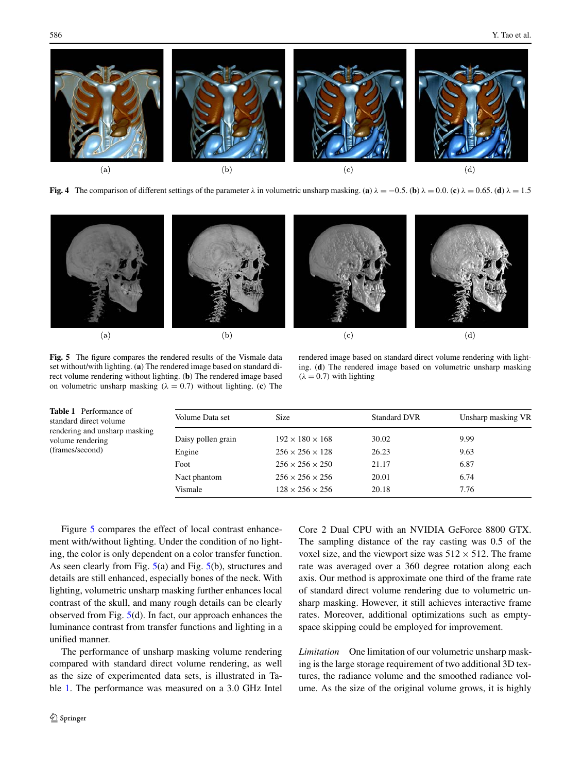<span id="page-5-0"></span>

Fig. 4 The comparison of different settings of the parameter  $\lambda$  in volumetric unsharp masking. (a)  $\lambda = -0.5$ . (b)  $\lambda = 0.0$ . (c)  $\lambda = 0.65$ . (d)  $\lambda = 1.5$ 



**Fig. 5** The figure compares the rendered results of the Vismale data set without/with lighting. (**a**) The rendered image based on standard direct volume rendering without lighting. (**b**) The rendered image based on volumetric unsharp masking  $(\lambda = 0.7)$  without lighting. (c) The

rendered image based on standard direct volume rendering with lighting. (**d**) The rendered image based on volumetric unsharp masking  $(\lambda = 0.7)$  with lighting

| <b>Table 1</b> Performance of<br>standard direct volume<br>rendering and unsharp masking<br>volume rendering<br>(frames/second) | Volume Data set    | <b>Size</b>                 | <b>Standard DVR</b> | Unsharp masking VR |
|---------------------------------------------------------------------------------------------------------------------------------|--------------------|-----------------------------|---------------------|--------------------|
|                                                                                                                                 | Daisy pollen grain | $192 \times 180 \times 168$ | 30.02               | 9.99               |
|                                                                                                                                 | Engine             | $256 \times 256 \times 128$ | 26.23               | 9.63               |
|                                                                                                                                 | Foot               | $256 \times 256 \times 250$ | 21.17               | 6.87               |
|                                                                                                                                 | Nact phantom       | $256 \times 256 \times 256$ | 20.01               | 6.74               |
|                                                                                                                                 | Vismale            | $128 \times 256 \times 256$ | 20.18               | 7.76               |

Figure 5 compares the effect of local contrast enhancement with/without lighting. Under the condition of no lighting, the color is only dependent on a color transfer function. As seen clearly from Fig. 5(a) and Fig. 5(b), structures and details are still enhanced, especially bones of the neck. With lighting, volumetric unsharp masking further enhances local contrast of the skull, and many rough details can be clearly observed from Fig. 5(d). In fact, our approach enhances the luminance contrast from transfer functions and lighting in a unified manner.

The performance of unsharp masking volume rendering compared with standard direct volume rendering, as well as the size of experimented data sets, is illustrated in Table 1. The performance was measured on a 3.0 GHz Intel Core 2 Dual CPU with an NVIDIA GeForce 8800 GTX. The sampling distance of the ray casting was 0.5 of the voxel size, and the viewport size was  $512 \times 512$ . The frame rate was averaged over a 360 degree rotation along each axis. Our method is approximate one third of the frame rate of standard direct volume rendering due to volumetric unsharp masking. However, it still achieves interactive frame rates. Moreover, additional optimizations such as emptyspace skipping could be employed for improvement.

*Limitation* One limitation of our volumetric unsharp masking is the large storage requirement of two additional 3D textures, the radiance volume and the smoothed radiance volume. As the size of the original volume grows, it is highly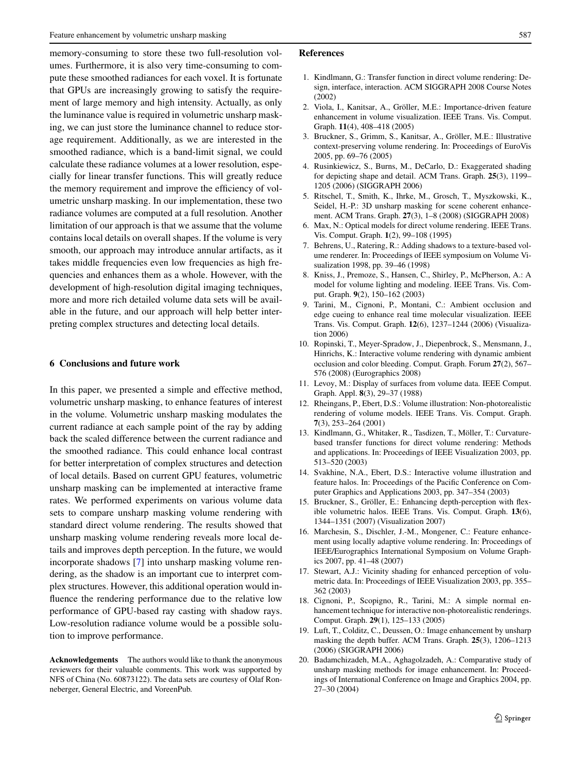<span id="page-6-0"></span>memory-consuming to store these two full-resolution volumes. Furthermore, it is also very time-consuming to compute these smoothed radiances for each voxel. It is fortunate that GPUs are increasingly growing to satisfy the requirement of large memory and high intensity. Actually, as only the luminance value is required in volumetric unsharp masking, we can just store the luminance channel to reduce storage requirement. Additionally, as we are interested in the smoothed radiance, which is a band-limit signal, we could calculate these radiance volumes at a lower resolution, especially for linear transfer functions. This will greatly reduce the memory requirement and improve the efficiency of volumetric unsharp masking. In our implementation, these two radiance volumes are computed at a full resolution. Another limitation of our approach is that we assume that the volume contains local details on overall shapes. If the volume is very smooth, our approach may introduce annular artifacts, as it takes middle frequencies even low frequencies as high frequencies and enhances them as a whole. However, with the development of high-resolution digital imaging techniques, more and more rich detailed volume data sets will be available in the future, and our approach will help better interpreting complex structures and detecting local details.

#### **6 Conclusions and future work**

In this paper, we presented a simple and effective method, volumetric unsharp masking, to enhance features of interest in the volume. Volumetric unsharp masking modulates the current radiance at each sample point of the ray by adding back the scaled difference between the current radiance and the smoothed radiance. This could enhance local contrast for better interpretation of complex structures and detection of local details. Based on current GPU features, volumetric unsharp masking can be implemented at interactive frame rates. We performed experiments on various volume data sets to compare unsharp masking volume rendering with standard direct volume rendering. The results showed that unsharp masking volume rendering reveals more local details and improves depth perception. In the future, we would incorporate shadows [7] into unsharp masking volume rendering, as the shadow is an important cue to interpret complex structures. However, this additional operation would influence the rendering performance due to the relative low performance of GPU-based ray casting with shadow rays. Low-resolution radiance volume would be a possible solution to improve performance.

**Acknowledgements** The authors would like to thank the anonymous reviewers for their valuable comments. This work was supported by NFS of China (No. 60873122). The data sets are courtesy of Olaf Ronneberger, General Electric, and VoreenPub.

#### **References**

- 1. Kindlmann, G.: Transfer function in direct volume rendering: Design, interface, interaction. ACM SIGGRAPH 2008 Course Notes (2002)
- 2. Viola, I., Kanitsar, A., Gröller, M.E.: Importance-driven feature enhancement in volume visualization. IEEE Trans. Vis. Comput. Graph. **11**(4), 408–418 (2005)
- 3. Bruckner, S., Grimm, S., Kanitsar, A., Gröller, M.E.: Illustrative context-preserving volume rendering. In: Proceedings of EuroVis 2005, pp. 69–76 (2005)
- 4. Rusinkiewicz, S., Burns, M., DeCarlo, D.: Exaggerated shading for depicting shape and detail. ACM Trans. Graph. **25**(3), 1199– 1205 (2006) (SIGGRAPH 2006)
- 5. Ritschel, T., Smith, K., Ihrke, M., Grosch, T., Myszkowski, K., Seidel, H.-P.: 3D unsharp masking for scene coherent enhancement. ACM Trans. Graph. **27**(3), 1–8 (2008) (SIGGRAPH 2008)
- 6. Max, N.: Optical models for direct volume rendering. IEEE Trans. Vis. Comput. Graph. **1**(2), 99–108 (1995)
- 7. Behrens, U., Ratering, R.: Adding shadows to a texture-based volume renderer. In: Proceedings of IEEE symposium on Volume Visualization 1998, pp. 39–46 (1998)
- 8. Kniss, J., Premoze, S., Hansen, C., Shirley, P., McPherson, A.: A model for volume lighting and modeling. IEEE Trans. Vis. Comput. Graph. **9**(2), 150–162 (2003)
- 9. Tarini, M., Cignoni, P., Montani, C.: Ambient occlusion and edge cueing to enhance real time molecular visualization. IEEE Trans. Vis. Comput. Graph. **12**(6), 1237–1244 (2006) (Visualization 2006)
- 10. Ropinski, T., Meyer-Spradow, J., Diepenbrock, S., Mensmann, J., Hinrichs, K.: Interactive volume rendering with dynamic ambient occlusion and color bleeding. Comput. Graph. Forum **27**(2), 567– 576 (2008) (Eurographics 2008)
- 11. Levoy, M.: Display of surfaces from volume data. IEEE Comput. Graph. Appl. **8**(3), 29–37 (1988)
- 12. Rheingans, P., Ebert, D.S.: Volume illustration: Non-photorealistic rendering of volume models. IEEE Trans. Vis. Comput. Graph. **7**(3), 253–264 (2001)
- 13. Kindlmann, G., Whitaker, R., Tasdizen, T., Möller, T.: Curvaturebased transfer functions for direct volume rendering: Methods and applications. In: Proceedings of IEEE Visualization 2003, pp. 513–520 (2003)
- 14. Svakhine, N.A., Ebert, D.S.: Interactive volume illustration and feature halos. In: Proceedings of the Pacific Conference on Computer Graphics and Applications 2003, pp. 347–354 (2003)
- 15. Bruckner, S., Gröller, E.: Enhancing depth-perception with flexible volumetric halos. IEEE Trans. Vis. Comput. Graph. **13**(6), 1344–1351 (2007) (Visualization 2007)
- 16. Marchesin, S., Dischler, J.-M., Mongener, C.: Feature enhancement using locally adaptive volume rendering. In: Proceedings of IEEE/Eurographics International Symposium on Volume Graphics 2007, pp. 41–48 (2007)
- 17. Stewart, A.J.: Vicinity shading for enhanced perception of volumetric data. In: Proceedings of IEEE Visualization 2003, pp. 355– 362 (2003)
- 18. Cignoni, P., Scopigno, R., Tarini, M.: A simple normal enhancement technique for interactive non-photorealistic renderings. Comput. Graph. **29**(1), 125–133 (2005)
- 19. Luft, T., Colditz, C., Deussen, O.: Image enhancement by unsharp masking the depth buffer. ACM Trans. Graph. **25**(3), 1206–1213 (2006) (SIGGRAPH 2006)
- 20. Badamchizadeh, M.A., Aghagolzadeh, A.: Comparative study of unsharp masking methods for image enhancement. In: Proceedings of International Conference on Image and Graphics 2004, pp. 27–30 (2004)